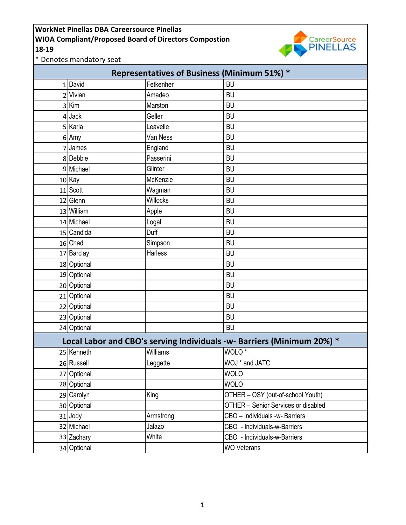

\* Denotes mandatory seat

| <b>Representatives of Business (Minimum 51%) *</b>                     |             |                |                                     |  |  |
|------------------------------------------------------------------------|-------------|----------------|-------------------------------------|--|--|
| 1                                                                      | David       | Fetkenher      | <b>BU</b>                           |  |  |
| 2                                                                      | Vivian      | Amadeo         | <b>BU</b>                           |  |  |
|                                                                        | 3 Kim       | Marston        | <b>BU</b>                           |  |  |
| 4                                                                      | Jack        | Geller         | <b>BU</b>                           |  |  |
|                                                                        | 5 Karla     | Leavelle       | <b>BU</b>                           |  |  |
| 6                                                                      | Amy         | Van Ness       | <b>BU</b>                           |  |  |
| 7                                                                      | James       | England        | <b>BU</b>                           |  |  |
|                                                                        | 8 Debbie    | Passerini      | <b>BU</b>                           |  |  |
| 9                                                                      | Michael     | Glinter        | <b>BU</b>                           |  |  |
|                                                                        | 10 Kay      | McKenzie       | <b>BU</b>                           |  |  |
|                                                                        | 11 Scott    | Wagman         | <b>BU</b>                           |  |  |
|                                                                        | 12 Glenn    | Willocks       | <b>BU</b>                           |  |  |
|                                                                        | 13 William  | Apple          | <b>BU</b>                           |  |  |
|                                                                        | 14 Michael  | Logal          | <b>BU</b>                           |  |  |
|                                                                        | 15 Candida  | Duff           | <b>BU</b>                           |  |  |
|                                                                        | 16 Chad     | Simpson        | <b>BU</b>                           |  |  |
|                                                                        | 17 Barclay  | <b>Harless</b> | <b>BU</b>                           |  |  |
|                                                                        | 18 Optional |                | <b>BU</b>                           |  |  |
|                                                                        | 19 Optional |                | <b>BU</b>                           |  |  |
|                                                                        | 20 Optional |                | <b>BU</b>                           |  |  |
|                                                                        | 21 Optional |                | <b>BU</b>                           |  |  |
|                                                                        | 22 Optional |                | <b>BU</b>                           |  |  |
|                                                                        | 23 Optional |                | <b>BU</b>                           |  |  |
|                                                                        | 24 Optional |                | <b>BU</b>                           |  |  |
| Local Labor and CBO's serving Individuals -w- Barriers (Minimum 20%) * |             |                |                                     |  |  |
|                                                                        | 25 Kenneth  | Williams       | WOLO <sup>*</sup>                   |  |  |
|                                                                        | 26 Russell  | Leggette       | WOJ * and JATC                      |  |  |
| 27                                                                     | Optional    |                | <b>WOLO</b>                         |  |  |
|                                                                        | 28 Optional |                | <b>WOLO</b>                         |  |  |
|                                                                        | 29 Carolyn  | King           | OTHER - OSY (out-of-school Youth)   |  |  |
|                                                                        | 30 Optional |                | OTHER - Senior Services or disabled |  |  |
|                                                                        | 31 Jody     | Armstrong      | CBO - Individuals -w- Barriers      |  |  |
|                                                                        | 32 Michael  | Jalazo         | CBO - Individuals-w-Barriers        |  |  |
|                                                                        | 33 Zachary  | White          | CBO - Individuals-w-Barriers        |  |  |
|                                                                        | 34 Optional |                | <b>WO Veterans</b>                  |  |  |